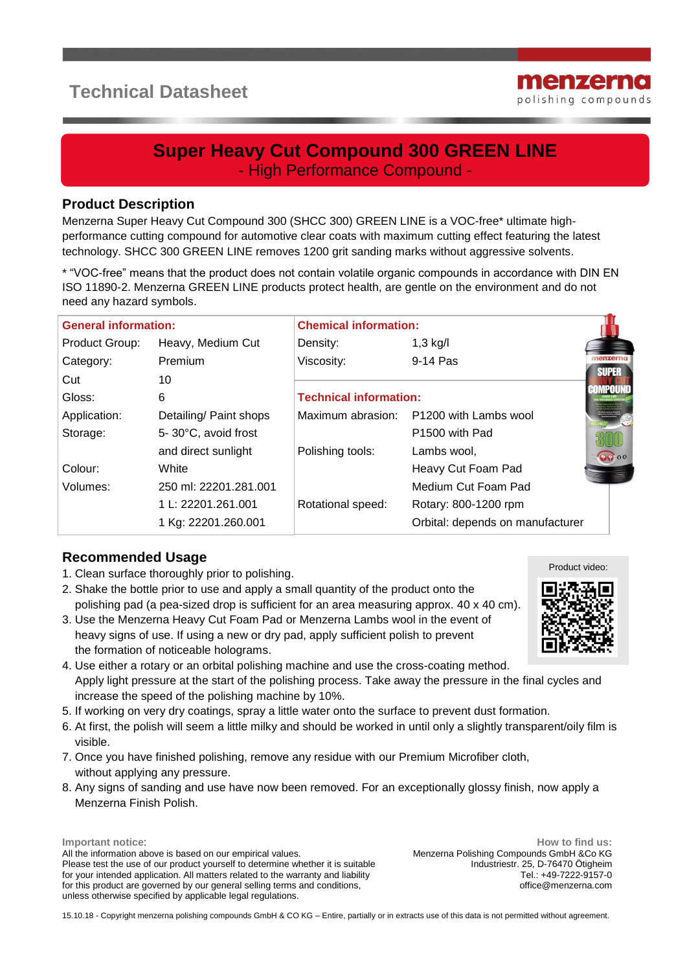# **Technical Datasheet**



# **Super Heavy Cut Compound 300 GREEN LINE** - High Performance Compound -

#### **Product Description**

Menzerna Super Heavy Cut Compound 300 (SHCC 300) GREEN LINE is a VOC-free\* ultimate highperformance cutting compound for automotive clear coats with maximum cutting effect featuring the latest technology. SHCC 300 GREEN LINE removes 1200 grit sanding marks without aggressive solvents.

\* "VOC-free" means that the product does not contain volatile organic compounds in accordance with DIN EN ISO 11890-2. Menzerna GREEN LINE products protect health, are gentle on the environment and do not need any hazard symbols.

| <b>General information:</b> |                        | <b>Chemical information:</b>  |                                  |                                |
|-----------------------------|------------------------|-------------------------------|----------------------------------|--------------------------------|
| Product Group:              | Heavy, Medium Cut      | Density:                      | $1,3$ kg/l                       |                                |
| Category:                   | <b>Premium</b>         | Viscosity:                    | 9-14 Pas                         |                                |
| Cut                         | 10                     |                               |                                  | <b>SUPER</b><br><b>IMPOUND</b> |
| Gloss:                      | 6                      | <b>Technical information:</b> |                                  |                                |
| Application:                | Detailing/ Paint shops | Maximum abrasion:             | P1200 with Lambs wool            |                                |
| Storage:                    | 5-30°C, avoid frost    |                               | P <sub>1500</sub> with Pad       |                                |
|                             | and direct sunlight    | Polishing tools:              | Lambs wool,                      | $QQ$ 00                        |
| Colour:                     | White                  |                               | Heavy Cut Foam Pad               |                                |
| Volumes:                    | 250 ml: 22201.281.001  |                               | Medium Cut Foam Pad              |                                |
|                             | 1 L: 22201.261.001     | Rotational speed:             | Rotary: 800-1200 rpm             |                                |
|                             | 1 Kg: 22201.260.001    |                               | Orbital: depends on manufacturer |                                |

## **Recommended Usage**

- 1. Clean surface thoroughly prior to polishing.
- 2. Shake the bottle prior to use and apply a small quantity of the product onto the polishing pad (a pea-sized drop is sufficient for an area measuring approx. 40 x 40 cm).
- 3. Use the Menzerna Heavy Cut Foam Pad or Menzerna Lambs wool in the event of heavy signs of use. If using a new or dry pad, apply sufficient polish to prevent the formation of noticeable holograms.
- 4. Use either a rotary or an orbital polishing machine and use the cross-coating method. Apply light pressure at the start of the polishing process. Take away the pressure in the final cycles and increase the speed of the polishing machine by 10%.
- 5. If working on very dry coatings, spray a little water onto the surface to prevent dust formation.
- 6. At first, the polish will seem a little milky and should be worked in until only a slightly transparent/oily film is visible.
- 7. Once you have finished polishing, remove any residue with our Premium Microfiber cloth, without applying any pressure.
- 8. Any signs of sanding and use have now been removed. For an exceptionally glossy finish, now apply a Menzerna Finish Polish.

**Important notice**: All the information above is based on our empirical values. Please test the use of our product yourself to determine whether it is suitable for your intended application. All matters related to the warranty and liability for this product are governed by our general selling terms and conditions, unless otherwise specified by applicable legal regulations.

**How to find us:** Menzerna Polishing Compounds GmbH &Co KG Industriestr. 25, D-76470 Ötigheim Tel.: +49-7222-9157-0 office@menzerna.com

15.10.18 - Copyright menzerna polishing compounds GmbH & CO KG – Entire, partially or in extracts use of this data is not permitted without agreement.